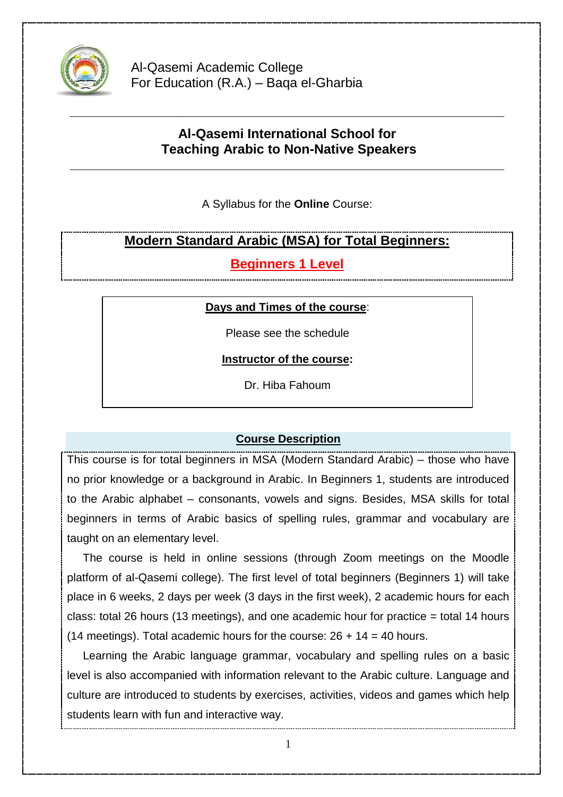

Al-Qasemi Academic College For Education (R.A.) – Baqa el-Gharbia

# **Al-Qasemi International School for Teaching Arabic to Non-Native Speakers**

**\_\_\_\_\_\_\_\_\_\_\_\_\_\_\_\_\_\_\_\_\_\_\_\_\_\_\_\_\_\_\_\_\_\_\_\_\_\_\_\_\_\_\_\_\_\_\_\_\_\_\_\_\_\_\_\_\_\_\_**

**\_\_\_\_\_\_\_\_\_\_\_\_\_\_\_\_\_\_\_\_\_\_\_\_\_\_\_\_\_\_\_\_\_\_\_\_\_\_\_\_\_\_\_\_\_\_\_\_\_\_\_\_\_\_\_\_\_\_\_**

A Syllabus for the **Online** Course:

# **Modern Standard Arabic (MSA) for Total Beginners:**

**Beginners 1 Level**

## **Days and Times of the course**:

Please see the schedule

**Instructor of the course:**

Dr. Hiba Fahoum

# **Course Description**

This course is for total beginners in MSA (Modern Standard Arabic) – those who have no prior knowledge or a background in Arabic. In Beginners 1, students are introduced to the Arabic alphabet – consonants, vowels and signs. Besides, MSA skills for total beginners in terms of Arabic basics of spelling rules, grammar and vocabulary are taught on an elementary level.

 The course is held in online sessions (through Zoom meetings on the Moodle platform of al-Qasemi college). The first level of total beginners (Beginners 1) will take place in 6 weeks, 2 days per week (3 days in the first week), 2 academic hours for each class: total 26 hours (13 meetings), and one academic hour for practice = total 14 hours (14 meetings). Total academic hours for the course:  $26 + 14 = 40$  hours.

 Learning the Arabic language grammar, vocabulary and spelling rules on a basic level is also accompanied with information relevant to the Arabic culture. Language and culture are introduced to students by exercises, activities, videos and games which help students learn with fun and interactive way.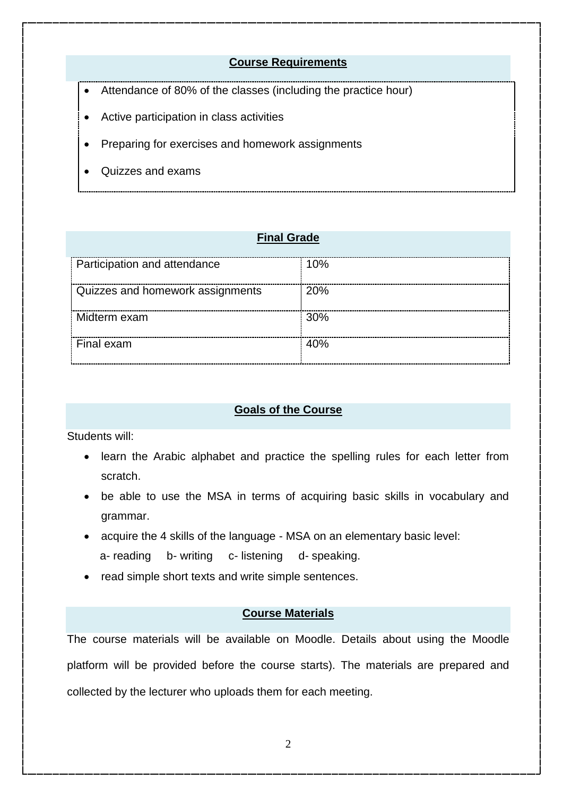### **Course Requirements**

- Attendance of 80% of the classes (including the practice hour)
- Active participation in class activities
- Preparing for exercises and homework assignments
- Quizzes and exams

### **Final Grade**

| Participation and attendance     | 10% |
|----------------------------------|-----|
| Quizzes and homework assignments | 20% |
| Midterm exam                     | 30% |
| Final exam                       | 40% |

#### **Goals of the Course**

Students will:

- learn the Arabic alphabet and practice the spelling rules for each letter from scratch.
- be able to use the MSA in terms of acquiring basic skills in vocabulary and grammar.
- acquire the 4 skills of the language MSA on an elementary basic level:
	- a- reading b- writing c- listening d- speaking.
- read simple short texts and write simple sentences.

#### **Course Materials**

The course materials will be available on Moodle. Details about using the Moodle platform will be provided before the course starts). The materials are prepared and collected by the lecturer who uploads them for each meeting.